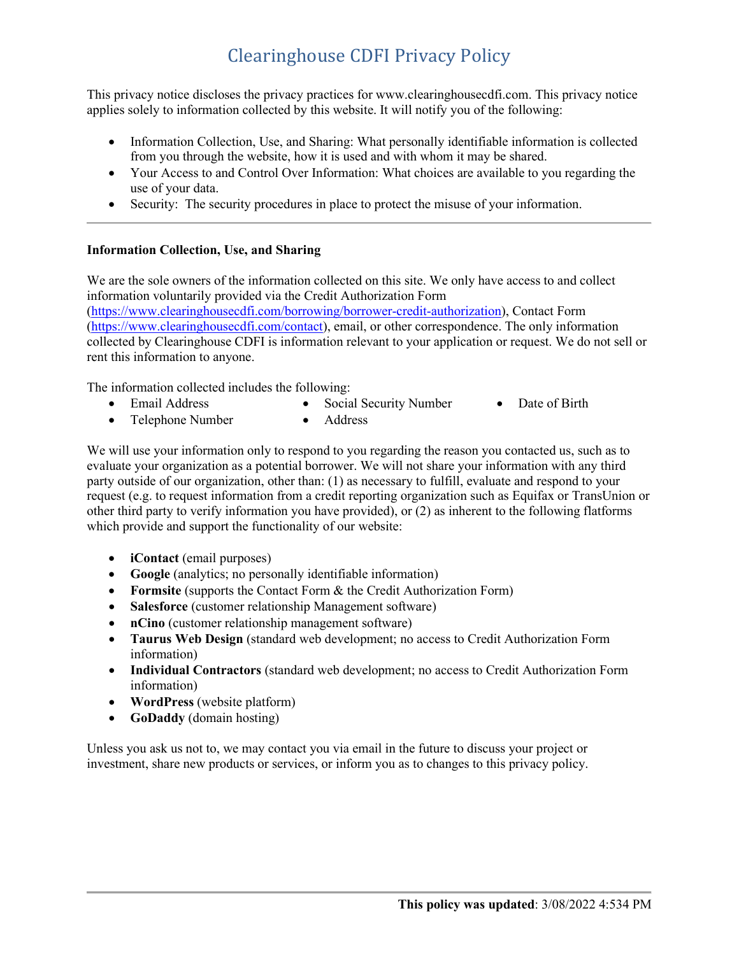# Clearinghouse CDFI Privacy Policy

This privacy notice discloses the privacy practices for www.clearinghousecdfi.com. This privacy notice applies solely to information collected by this website. It will notify you of the following:

- Information Collection, Use, and Sharing: What personally identifiable information is collected from you through the website, how it is used and with whom it may be shared.
- Your Access to and Control Over Information: What choices are available to you regarding the use of your data.
- Security: The security procedures in place to protect the misuse of your information.

### **Information Collection, Use, and Sharing**

We are the sole owners of the information collected on this site. We only have access to and collect information voluntarily provided via the Credit Authorization Form [\(https://www.clearinghousecdfi.com/borrowing/borrower-credit-authorization\)](https://www.clearinghousecdfi.com/borrowing/borrower-credit-authorization), Contact Form [\(https://www.clearinghousecdfi.com/contact\)](https://www.clearinghousecdfi.com/contact), email, or other correspondence. The only information collected by Clearinghouse CDFI is information relevant to your application or request. We do not sell or rent this information to anyone.

The information collected includes the following:

- Email Address • Social Security Number • Date of Birth
- Telephone Number • Address

We will use your information only to respond to you regarding the reason you contacted us, such as to evaluate your organization as a potential borrower. We will not share your information with any third party outside of our organization, other than: (1) as necessary to fulfill, evaluate and respond to your request (e.g. to request information from a credit reporting organization such as Equifax or TransUnion or other third party to verify information you have provided), or (2) as inherent to the following flatforms which provide and support the functionality of our website:

- **iContact** (email purposes)
- **Google** (analytics; no personally identifiable information)
- **Formsite** (supports the Contact Form & the Credit Authorization Form)
- **Salesforce** (customer relationship Management software)
- **nCino** (customer relationship management software)
- **Taurus Web Design** (standard web development; no access to Credit Authorization Form information)
- **Individual Contractors** (standard web development; no access to Credit Authorization Form information)
- **WordPress** (website platform)
- **GoDaddy** (domain hosting)

Unless you ask us not to, we may contact you via email in the future to discuss your project or investment, share new products or services, or inform you as to changes to this privacy policy.